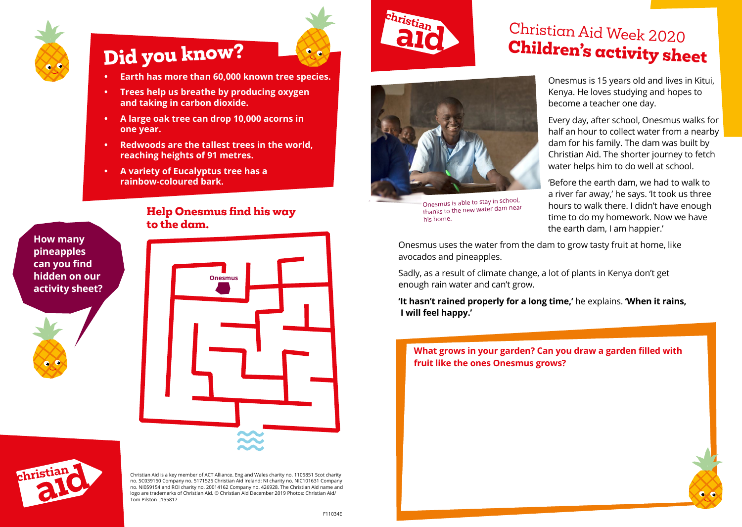

## **Did you know?**

- **• Earth has more than 60,000 known tree species.**
- **• Trees help us breathe by producing oxygen and taking in carbon dioxide.**
- **• A large oak tree can drop 10,000 acorns in one year.**
- **• Redwoods are the tallest trees in the world, reaching heights of 91 metres.**
- **• A variety of Eucalyptus tree has a rainbow-coloured bark.**

#### **How many pineapples can you find hidden on our activity sheet?**

#### **Help Onesmus find his way to the dam.**





Christian Aid is a key member of ACT Alliance. Eng and Wales charity no. 1105851 Scot charity no. SC039150 Company no. 5171525 Christian Aid Ireland: NI charity no. NIC101631 Company no. NI059154 and ROI charity no. 20014162 Company no. 426928. The Christian Aid name and logo are trademarks of Christian Aid. © Christian Aid December 2019 Photos: Christian Aid/ Tom Pilston 1155817



Onesmus is able to stay in school, thanks to the new water dam near his home.

## Christian Aid Week 2020 **Children's activity sheet**

Onesmus is 15 years old and lives in Kitui, Kenya. He loves studying and hopes to become a teacher one day.

Every day, after school, Onesmus walks for half an hour to collect water from a nearby dam for his family. The dam was built by Christian Aid. The shorter journey to fetch water helps him to do well at school.

'Before the earth dam, we had to walk to a river far away,' he says. 'It took us three hours to walk there. I didn't have enough time to do my homework. Now we have the earth dam, I am happier.'

Onesmus uses the water from the dam to grow tasty fruit at home, like avocados and pineapples.

Sadly, as a result of climate change, a lot of plants in Kenya don't get enough rain water and can't grow.

**'It hasn't rained properly for a long time,'** he explains. **'When it rains, I will feel happy.'**

**What grows in your garden? Can you draw a garden filled with fruit like the ones Onesmus grows?**